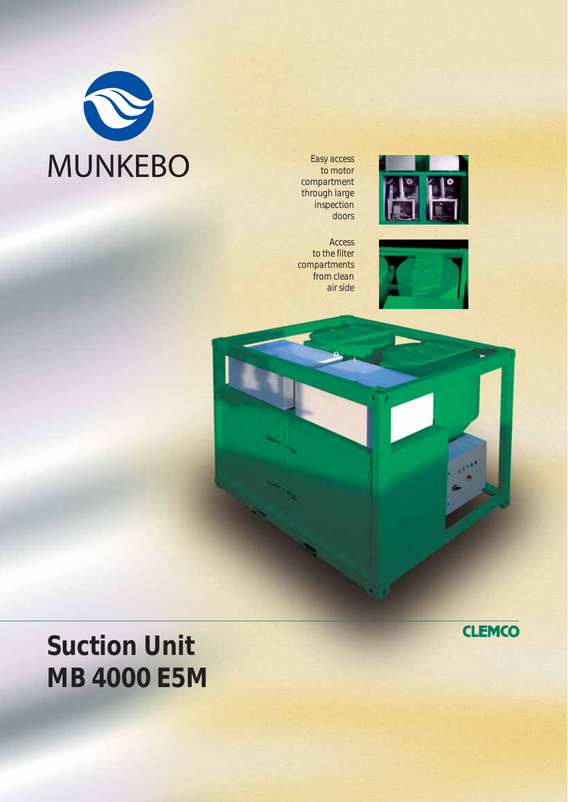

*Easy access to motor compartment through large inspection doors*



*Access to the filter compartments from clean air side*





## **Suction Unit MB 4000 E5M**